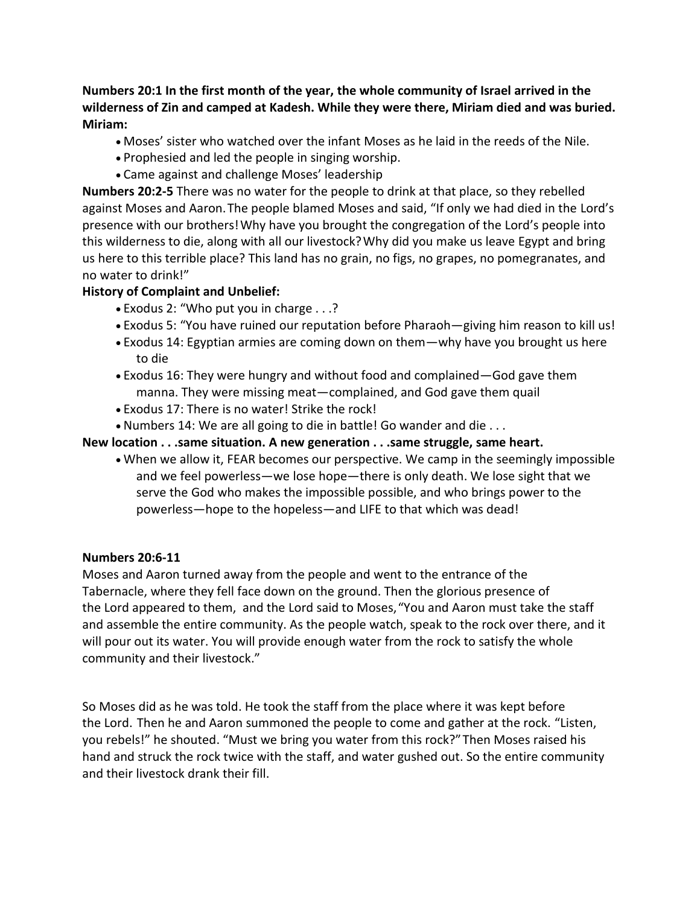## **Numbers 20:1 In the first month of the year, the whole community of Israel arrived in the wilderness of Zin and camped at Kadesh. While they were there, Miriam died and was buried. Miriam:**

- Moses' sister who watched over the infant Moses as he laid in the reeds of the Nile.
- Prophesied and led the people in singing worship.
- Came against and challenge Moses' leadership

**Numbers 20:2-5** There was no water for the people to drink at that place, so they rebelled against Moses and Aaron.The people blamed Moses and said, "If only we had died in the Lord's presence with our brothers!Why have you brought the congregation of the Lord's people into this wilderness to die, along with all our livestock?Why did you make us leave Egypt and bring us here to this terrible place? This land has no grain, no figs, no grapes, no pomegranates, and no water to drink!"

### **History of Complaint and Unbelief:**

- Exodus 2: "Who put you in charge . . .?
- Exodus 5: "You have ruined our reputation before Pharaoh—giving him reason to kill us!
- Exodus 14: Egyptian armies are coming down on them—why have you brought us here to die
- Exodus 16: They were hungry and without food and complained—God gave them manna. They were missing meat—complained, and God gave them quail
- Exodus 17: There is no water! Strike the rock!
- Numbers 14: We are all going to die in battle! Go wander and die . . .

### **New location . . .same situation. A new generation . . .same struggle, same heart.**

• When we allow it, FEAR becomes our perspective. We camp in the seemingly impossible and we feel powerless—we lose hope—there is only death. We lose sight that we serve the God who makes the impossible possible, and who brings power to the powerless—hope to the hopeless—and LIFE to that which was dead!

#### **Numbers 20:6-11**

Moses and Aaron turned away from the people and went to the entrance of the Tabernacle, where they fell face down on the ground. Then the glorious presence of the Lord appeared to them, and the Lord said to Moses,"You and Aaron must take the staff and assemble the entire community. As the people watch, speak to the rock over there, and it will pour out its water. You will provide enough water from the rock to satisfy the whole community and their livestock."

So Moses did as he was told. He took the staff from the place where it was kept before the Lord. Then he and Aaron summoned the people to come and gather at the rock. "Listen, you rebels!" he shouted. "Must we bring you water from this rock?"Then Moses raised his hand and struck the rock twice with the staff, and water gushed out. So the entire community and their livestock drank their fill.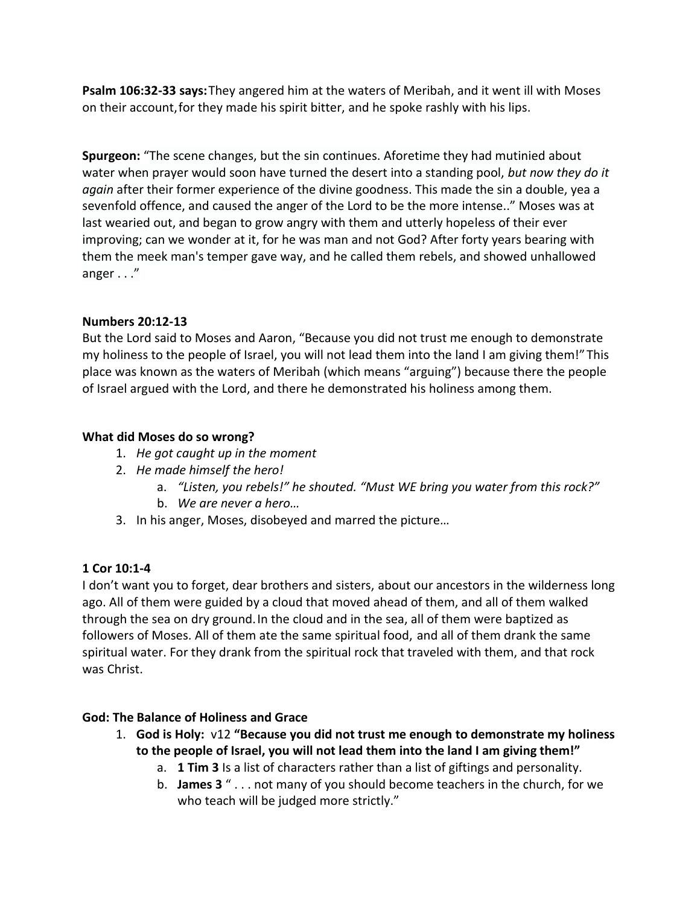**Psalm 106:32-33 says:**They angered him at the waters of Meribah, and it went ill with Moses on their account,for they made his spirit bitter, and he spoke rashly with his lips.

**Spurgeon:** "The scene changes, but the sin continues. Aforetime they had mutinied about water when prayer would soon have turned the desert into a standing pool, *but now they do it again* after their former experience of the divine goodness. This made the sin a double, yea a sevenfold offence, and caused the anger of the Lord to be the more intense.." Moses was at last wearied out, and began to grow angry with them and utterly hopeless of their ever improving; can we wonder at it, for he was man and not God? After forty years bearing with them the meek man's temper gave way, and he called them rebels, and showed unhallowed anger . . ."

## **Numbers 20:12-13**

But the Lord said to Moses and Aaron, "Because you did not trust me enough to demonstrate my holiness to the people of Israel, you will not lead them into the land I am giving them!"This place was known as the waters of Meribah (which means "arguing") because there the people of Israel argued with the Lord, and there he demonstrated his holiness among them.

## **What did Moses do so wrong?**

- 1. *He got caught up in the moment*
- 2. *He made himself the hero!*
	- a. *"Listen, you rebels!" he shouted. "Must WE bring you water from this rock?"*
	- b. *We are never a hero…*
- 3. In his anger, Moses, disobeyed and marred the picture…

# **1 Cor 10:1-4**

I don't want you to forget, dear brothers and sisters, about our ancestors in the wilderness long ago. All of them were guided by a cloud that moved ahead of them, and all of them walked through the sea on dry ground.In the cloud and in the sea, all of them were baptized as followers of Moses. All of them ate the same spiritual food, and all of them drank the same spiritual water. For they drank from the spiritual rock that traveled with them, and that rock was Christ.

# **God: The Balance of Holiness and Grace**

- 1. **God is Holy:** v12 **"Because you did not trust me enough to demonstrate my holiness to the people of Israel, you will not lead them into the land I am giving them!"**
	- a. **1 Tim 3** Is a list of characters rather than a list of giftings and personality.
	- b. **James 3** " . . . not many of you should become teachers in the church, for we who teach will be judged more strictly."